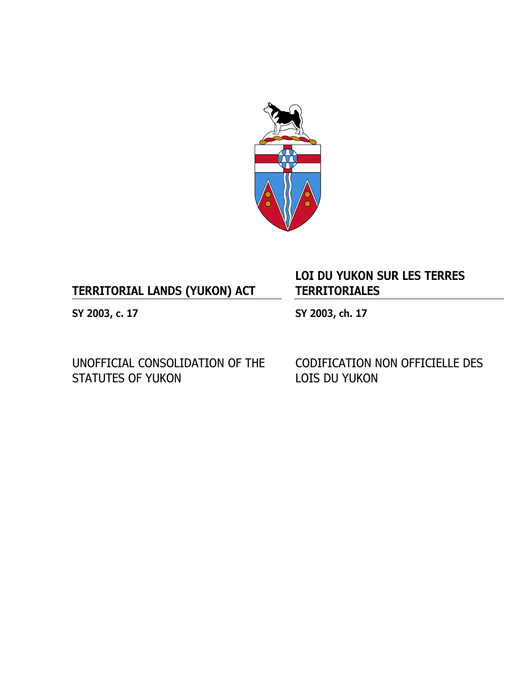

UNOFFICIAL CONSOLIDATION OF THE STATUTES OF YUKON

## **LOI DU YUKON SUR LES TERRES TERRITORIALES**

**SY 2003, c. 17 SY 2003, ch. 17**

CODIFICATION NON OFFICIELLE DES LOIS DU YUKON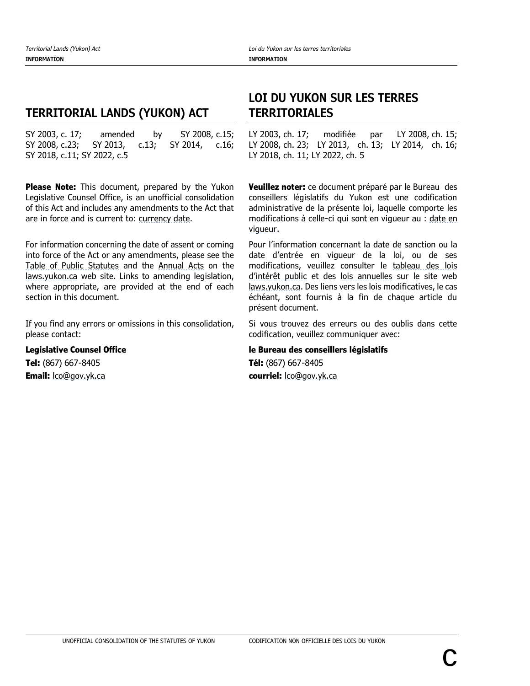SY 2003, c. 17; amended by SY 2008, c.15; SY 2008, c.23; SY 2013, c.13; SY 2014, c.16; SY 2018, c.11; SY 2022, c.5

**Please Note:** This document, prepared by the Yukon Legislative Counsel Office, is an unofficial consolidation of this Act and includes any amendments to the Act that are in force and is current to: [currency date.](https://laws.yukon.ca/cms/currency-date.html)

For information concerning the date of assent or coming into force of the Act or any amendments, please see the [Table of Public Statutes](https://laws.yukon.ca/cms/table-of-public-statutes.html) and the [Annual Acts](https://laws.yukon.ca/cms/acts-by-year.html) on the [laws.yukon.ca](https://laws.yukon.ca/) web site. Links to amending legislation, where appropriate, are provided at the end of each section in this document.

If you find any errors or omissions in this consolidation, please contact:

**Legislative Counsel Office Tel:** (867) 667-8405 **Email:** [lco@gov.yk.ca](mailto:lco@gov.yk.ca)

## **LOI DU YUKON SUR LES TERRES TERRITORIALES**

LY 2003, ch. 17; modifiée par LY 2008, ch. 15; LY 2008, ch. 23; LY 2013, ch. 13; LY 2014, ch. 16; LY 2018, ch. 11; LY 2022, ch. 5

**Veuillez noter:** ce document préparé par le Bureau des conseillers législatifs du Yukon est une codification administrative de la présente loi, laquelle comporte les modifications à celle-ci qui sont en vigueur au : [date en](https://laws.yukon.ca/cms/currency-date.html)  [vigueur.](https://laws.yukon.ca/cms/currency-date.html)

Pour l'information concernant la date de sanction ou la date d'entrée en vigueur de la loi, ou de ses modifications, veuillez consulter le [tableau des lois](https://laws.yukon.ca/cms/table-of-public-statutes.html)  [d'intérêt public](https://laws.yukon.ca/cms/table-of-public-statutes.html) et des [lois annuelles](https://laws.yukon.ca/cms/acts-by-year.html) sur le site web [laws.yukon.ca.](https://laws.yukon.ca/) Des liens vers les lois modificatives, le cas échéant, sont fournis à la fin de chaque article du présent document.

Si vous trouvez des erreurs ou des oublis dans cette codification, veuillez communiquer avec:

### **le Bureau des conseillers législatifs**

**Tél:** (867) 667-8405 **courriel:** [lco@gov.yk.ca](mailto:lco@gov.yk.ca)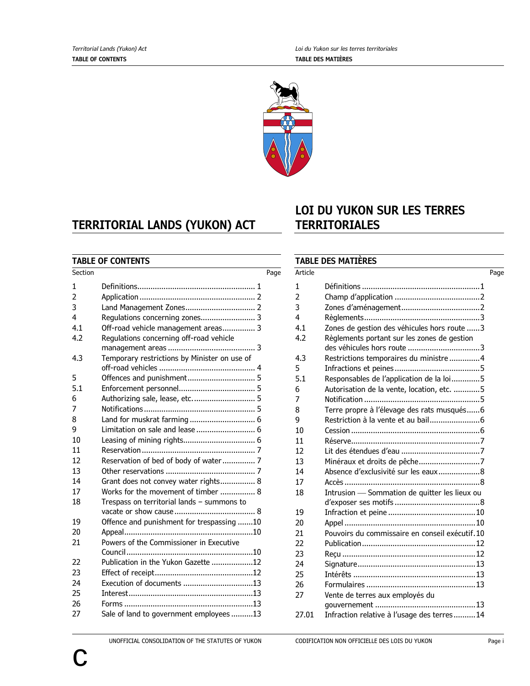

## **LOI DU YUKON SUR LES TERRES TERRITORIALES**

### **TABLE OF CONTENTS**

| Section                 |                                              | Page |
|-------------------------|----------------------------------------------|------|
| 1                       |                                              |      |
| $\overline{2}$          |                                              |      |
| 3                       |                                              |      |
| $\overline{\mathbf{4}}$ | Regulations concerning zones 3               |      |
| 4.1                     | Off-road vehicle management areas 3          |      |
| 4.2                     | Regulations concerning off-road vehicle      |      |
|                         |                                              |      |
| 4.3                     | Temporary restrictions by Minister on use of |      |
|                         |                                              |      |
| 5                       |                                              |      |
| 5.1                     |                                              |      |
| 6                       | Authorizing sale, lease, etc 5               |      |
| 7                       |                                              |      |
| 8                       | Land for muskrat farming 6                   |      |
| 9                       |                                              |      |
| 10                      |                                              |      |
| 11                      |                                              |      |
| 12                      | Reservation of bed of body of water 7        |      |
| 13                      |                                              |      |
| 14                      | Grant does not convey water rights 8         |      |
| 17                      | Works for the movement of timber  8          |      |
| 18                      | Trespass on territorial lands - summons to   |      |
|                         |                                              |      |
| 19                      | Offence and punishment for trespassing 10    |      |
| 20                      |                                              |      |
| 21                      | Powers of the Commissioner in Executive      |      |
|                         |                                              |      |
| 22                      | Publication in the Yukon Gazette 12          |      |
| 23                      |                                              |      |
| 24                      | Execution of documents 13                    |      |
| 25                      |                                              |      |
| 26                      |                                              |      |
| 27                      | Sale of land to government employees13       |      |

# **TABLE DES MATIÈRES**

| Article        |                                                 | Page |
|----------------|-------------------------------------------------|------|
| 1              |                                                 |      |
| $\overline{2}$ |                                                 |      |
| 3              |                                                 |      |
| 4              |                                                 |      |
| 4.1            | Zones de gestion des véhicules hors route 3     |      |
| 4.2            | Règlements portant sur les zones de gestion     |      |
|                |                                                 |      |
| 4.3            | Restrictions temporaires du ministre 4          |      |
| 5              |                                                 |      |
| 5.1            | Responsables de l'application de la loi5        |      |
| 6              | Autorisation de la vente, location, etc. 5      |      |
| 7              |                                                 |      |
| 8              | Terre propre à l'élevage des rats musqués6      |      |
| 9              |                                                 |      |
| 10             |                                                 |      |
| 11             |                                                 |      |
| 12             |                                                 |      |
| 13             | Minéraux et droits de pêche7                    |      |
| 14             | Absence d'exclusivité sur les eaux8             |      |
| 17             |                                                 |      |
| 18             | Intrusion - Sommation de quitter les lieux ou   |      |
|                |                                                 |      |
| 19             |                                                 |      |
| 20             |                                                 |      |
| 21             | Pouvoirs du commissaire en conseil exécutif. 10 |      |
| 22             |                                                 |      |
| 23             |                                                 |      |
| 24             |                                                 |      |
| 25             |                                                 |      |
| 26             |                                                 |      |
| 27             | Vente de terres aux employés du                 |      |
|                |                                                 |      |
| 27.01          | Infraction relative à l'usage des terres14      |      |

c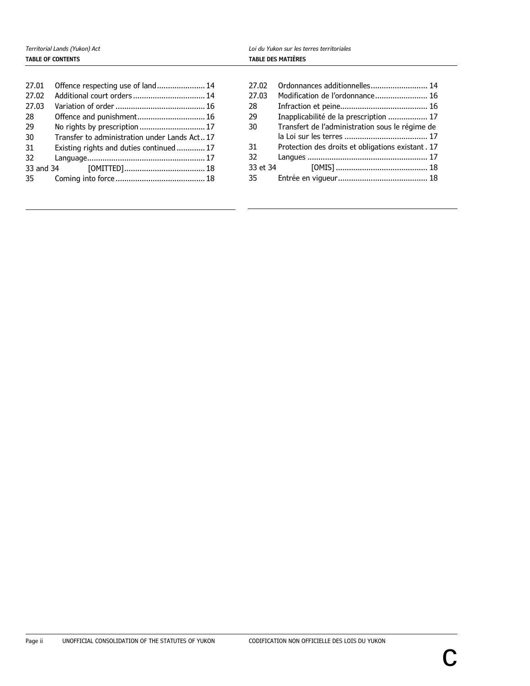| 27.01 | Offence respecting use of land 14            |  |
|-------|----------------------------------------------|--|
| 27.02 | Additional court orders 14                   |  |
| 27.03 |                                              |  |
| 28    | Offence and punishment 16                    |  |
| -29   | No rights by prescription  17                |  |
| 30    | Transfer to administration under Lands Act17 |  |
| 31    | Existing rights and duties continued  17     |  |
| 32    |                                              |  |
|       |                                              |  |
| 35    |                                              |  |

| 27.02    | Ordonnances additionnelles 14                     |  |
|----------|---------------------------------------------------|--|
| 27.03    | Modification de l'ordonnance 16                   |  |
| 28       |                                                   |  |
| 29       | Inapplicabilité de la prescription  17            |  |
| 30       | Transfert de l'administration sous le régime de   |  |
|          |                                                   |  |
| 31       | Protection des droits et obligations existant. 17 |  |
| 32       |                                                   |  |
| 33 et 34 |                                                   |  |
| 35 —     |                                                   |  |
|          |                                                   |  |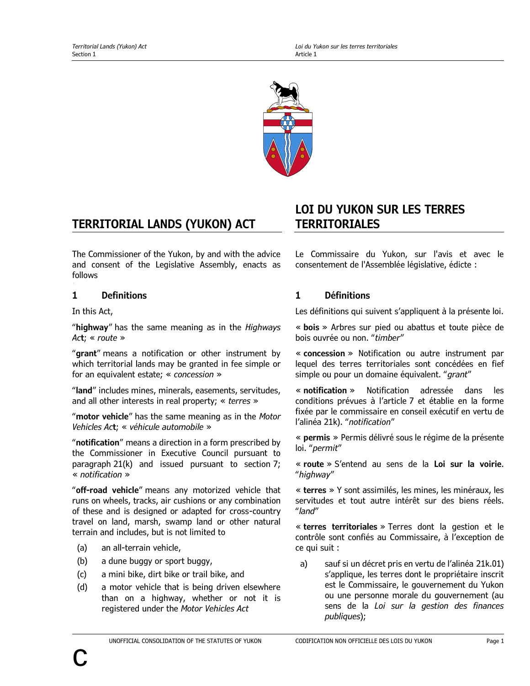

The Commissioner of the Yukon, by and with the advice and consent of the Legislative Assembly, enacts as follows

### **1 Definitions 1 Définitions**

In this Act,

<span id="page-4-0"></span>**1 Definit ions (Définitions)**

"**highway**" has the same meaning as in the *Highways Ac***t**; « *route* »

"**grant**" means a notification or other instrument by which territorial lands may be granted in fee simple or for an equivalent estate; « *concession* »

"**land**" includes mines, minerals, easements, servitudes, and all other interests in real property; « *terres* »

"**motor vehicle**" has the same meaning as in the *Motor Vehicles Ac***t**; « *véhicule automobile* »

"**notification**" means a direction in a form prescribed by the Commissioner in Executive Council pursuant to paragraph 21(k) and issued pursuant to section 7; « *notification* »

"**off-road vehicle**" means any motorized vehicle that runs on wheels, tracks, air cushions or any combination of these and is designed or adapted for cross-country travel on land, marsh, swamp land or other natural terrain and includes, but is not limited to

- (a) an all-terrain vehicle,
- (b) a dune buggy or sport buggy,
- (c) a mini bike, dirt bike or trail bike, and
- (d) a motor vehicle that is being driven elsewhere than on a highway, whether or not it is registered under the *Motor Vehicles Act*

# **LOI DU YUKON SUR LES TERRES TERRITORIALES**

Le Commissaire du Yukon, sur l'avis et avec le consentement de l'Assemblée législative, édicte :

<span id="page-4-1"></span>Les définitions qui suivent s'appliquent à la présente loi.

« **bois** » Arbres sur pied ou abattus et toute pièce de bois ouvrée ou non. "*timber*"

« **concession** » Notification ou autre instrument par lequel des terres territoriales sont concédées en fief simple ou pour un domaine équivalent. "*grant*"

« **notification** » Notification adressée dans les conditions prévues à l'article 7 et établie en la forme fixée par le commissaire en conseil exécutif en vertu de l'alinéa 21k). "*notification*"

« **permis** » Permis délivré sous le régime de la présente loi. "*permit*"

« **route** » S'entend au sens de la **Loi sur la voirie**. "*highway*"

« **terres** » Y sont assimilés, les mines, les minéraux, les servitudes et tout autre intérêt sur des biens réels. "*land*"

« **terres territoriales** » Terres dont la gestion et le contrôle sont confiés au Commissaire, à l'exception de ce qui suit :

a) sauf si un décret pris en vertu de l'alinéa 21k.01) s'applique, les terres dont le propriétaire inscrit est le Commissaire, le gouvernement du Yukon ou une personne morale du gouvernement (au sens de la *Loi sur la gestion des finances publiques*);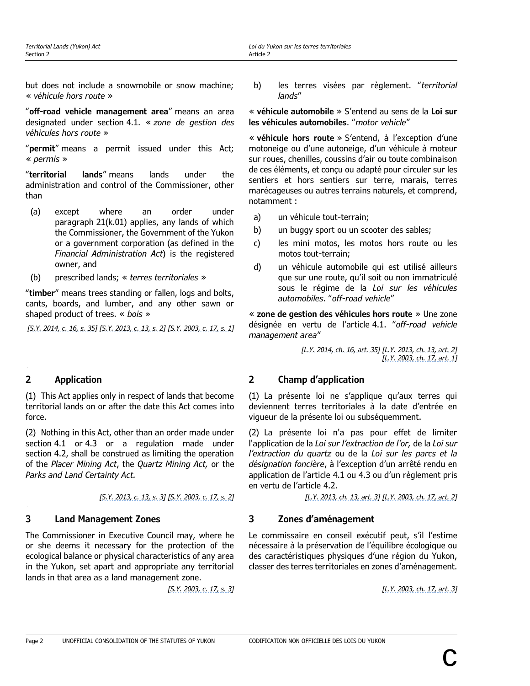but does not include a snowmobile or snow machine; « *véhicule hors route* »

"**off-road vehicle management area**" means an area designated under section 4.1. « *zone de gestion des véhicules hors route* »

"**permit**" means a permit issued under this Act; « *permis* »

"**territorial lands**" means lands under the administration and control of the Commissioner, other than

- (a) except where an order under paragraph 21(k.01) applies, any lands of which the Commissioner, the Government of the Yukon or a government corporation (as defined in the *Financial Administration Act*) is the registered owner, and
- (b) prescribed lands; « *terres territoriales* »

"**timber**" means trees standing or fallen, logs and bolts, cants, boards, and lumber, and any other sawn or shaped product of trees. « *bois* »

*[S.Y. [2014,](https://laws.yukon.ca/cms/images/LEGISLATION/AMENDING/2014/2014-0016/2014-0016.pdf) c. 16, s. 35] [S.Y. [2013,](https://laws.yukon.ca/cms/images/LEGISLATION/AMENDING/2013/2013-0013/2013-0013.pdf) c. 13, s. 2] [S.Y. [2003,](https://laws.yukon.ca/cms/images/LEGISLATION/AMENDING/2003/2003-0017/2003-0017.pdf) c. 17, s. 1]*

(1) This Act applies only in respect of lands that become territorial lands on or after the date this Act comes into force.

(2) Nothing in this Act, other than an order made under section 4.1 or 4.3 or a regulation made under section 4.2, shall be construed as limiting the operation of the *Placer Mining Act*, the *Quartz Mining Act,* or the *Parks and Land Certainty Act.*

### <span id="page-5-1"></span>**3 Land Management Zones 3 Zones d'aménagement**

The Commissioner in Executive Council may, where he or she deems it necessary for the protection of the ecological balance or physical characteristics of any area in the Yukon, set apart and appropriate any territorial lands in that area as a land management zone.

$$
[S.Y. 2003, c. 17, s. 3]
$$

b) les terres visées par règlement. "*territorial lands*"

« **véhicule automobile** » S'entend au sens de la **Loi sur les véhicules automobiles**. "*motor vehicle*"

« **véhicule hors route** » S'entend, à l'exception d'une motoneige ou d'une autoneige, d'un véhicule à moteur sur roues, chenilles, coussins d'air ou toute combinaison de ces éléments, et conçu ou adapté pour circuler sur les sentiers et hors sentiers sur terre, marais, terres marécageuses ou autres terrains naturels, et comprend, notamment :

- a) un véhicule tout-terrain;
- b) un buggy sport ou un scooter des sables;
- c) les mini motos, les motos hors route ou les motos tout-terrain;
- d) un véhicule automobile qui est utilisé ailleurs que sur une route, qu'il soit ou non immatriculé sous le régime de la *Loi sur les véhicules automobiles*. "*off-road vehicle*"

« **zone de gestion des véhicules hors route** » Une zone désignée en vertu de l'article 4.1. "*off-road vehicle management area*"

> *[L.Y. [2014,](https://laws.yukon.ca/cms/images/LEGISLATION/AMENDING/2014/2014-0016/2014-0016.pdf) ch. 16, art. 35] [L.Y. [2013,](https://laws.yukon.ca/cms/images/LEGISLATION/AMENDING/2013/2013-0013/2013-0013.pdf) ch. 13, art. 2] [L.Y. [2003,](https://laws.yukon.ca/cms/images/LEGISLATION/AMENDING/2003/2003-0017/2003-0017.pdf) ch. 17, art. 1]*

### <span id="page-5-0"></span>**2 Application 2 Champ d'application**

<span id="page-5-2"></span>(1) La présente loi ne s'applique qu'aux terres qui deviennent terres territoriales à la date d'entrée en vigueur de la présente loi ou subséquemment.

(2) La présente loi n'a pas pour effet de limiter l'application de la *Loi sur l'extraction de l'or,* de la *Loi sur l'extraction du quartz* ou de la *Loi sur les parcs et la désignation foncière*, à l'exception d'un arrêté rendu en application de l'article 4.1 ou 4.3 ou d'un règlement pris en vertu de l'article 4.2.

[S.Y. [2013,](https://laws.yukon.ca/cms/images/LEGISLATION/AMENDING/2013/2013-0013/2013-0013.pdf) c. 13, s. 3] [S.Y. [2003,](https://laws.yukon.ca/cms/images/LEGISLATION/AMENDING/2003/2003-0017/2003-0017.pdf) c. 17, s. 2] [L.Y. 2013, ch. 13, art. 3] [L.Y. 2003, ch. 17, art. 2]

<span id="page-5-3"></span>Le commissaire en conseil exécutif peut, s'il l'estime nécessaire à la préservation de l'équilibre écologique ou des caractéristiques physiques d'une région du Yukon, classer des terres territoriales en zones d'aménagement.

*[S.Y. [2003,](https://laws.yukon.ca/cms/images/LEGISLATION/AMENDING/2003/2003-0017/2003-0017.pdf) c. 17, s. 3] [L.Y. [2003,](https://laws.yukon.ca/cms/images/LEGISLATION/AMENDING/2003/2003-0017/2003-0017.pdf) ch. 17, art. 3]*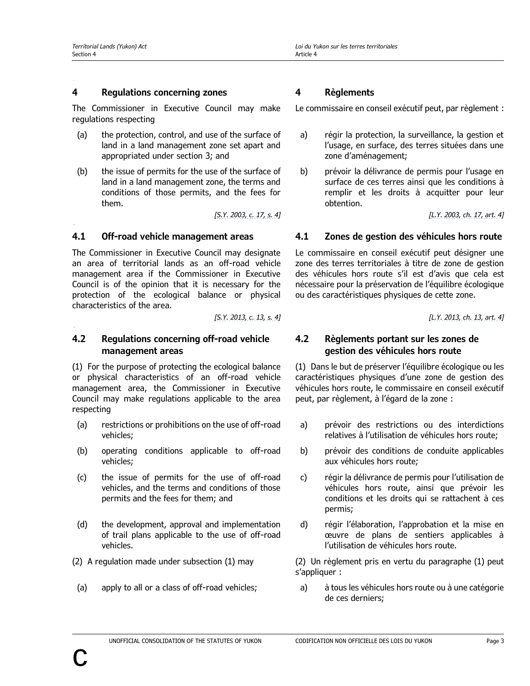<span id="page-6-2"></span>**4.2 Regulations concerning off-road vehicle management areas (Règlements port ant sur les z ones de gestion des véhic ules hors route)**

<span id="page-6-0"></span>**4 Regulations concerning zones (Règlements)**

### **4 Regulations concerning zones 4 Règlements**

The Commissioner in Executive Council may make regulations respecting

- (a) the protection, control, and use of the surface of land in a land management zone set apart and appropriated under section 3; and
- (b) the issue of permits for the use of the surface of land in a land management zone, the terms and conditions of those permits, and the fees for them.

The Commissioner in Executive Council may designate an area of territorial lands as an off-road vehicle management area if the Commissioner in Executive Council is of the opinion that it is necessary for the protection of the ecological balance or physical characteristics of the area.

### **4.2 Regulations concerning off-road vehicle management areas**

(1) For the purpose of protecting the ecological balance or physical characteristics of an off-road vehicle management area, the Commissioner in Executive Council may make regulations applicable to the area respecting

- (a) restrictions or prohibitions on the use of off-road vehicles;
- (b) operating conditions applicable to off-road vehicles;
- (c) the issue of permits for the use of off-road vehicles, and the terms and conditions of those permits and the fees for them; and
- (d) the development, approval and implementation of trail plans applicable to the use of off-road vehicles.
- 
- 

<span id="page-6-3"></span>Le commissaire en conseil exécutif peut, par règlement :

- a) régir la protection, la surveillance, la gestion et l'usage, en surface, des terres situées dans une zone d'aménagement;
- b) prévoir la délivrance de permis pour l'usage en surface de ces terres ainsi que les conditions à remplir et les droits à acquitter pour leur obtention.

*[S.Y. [2003,](https://laws.yukon.ca/cms/images/LEGISLATION/AMENDING/2003/2003-0017/2003-0017.pdf) c. 17, s. 4] [L.Y. [2003,](https://laws.yukon.ca/cms/images/LEGISLATION/AMENDING/2003/2003-0017/2003-0017.pdf) ch. 17, art. 4]*

### <span id="page-6-1"></span>**4.1 Off-road vehicle management areas 4.1 Zones de gestion des véhicules hors route**

<span id="page-6-4"></span>Le commissaire en conseil exécutif peut désigner une zone des terres territoriales à titre de zone de gestion des véhicules hors route s'il est d'avis que cela est nécessaire pour la préservation de l'équilibre écologique ou des caractéristiques physiques de cette zone.

*[S.Y. [2013,](https://laws.yukon.ca/cms/images/LEGISLATION/AMENDING/2013/2013-0013/2013-0013.pdf) c. 13, s. 4] [L.Y. [2013,](https://laws.yukon.ca/cms/images/LEGISLATION/AMENDING/2013/2013-0013/2013-0013.pdf) ch. 13, art. 4]*

### <span id="page-6-5"></span>**4.2 Règlements portant sur les zones de gestion des véhicules hors route**

(1) Dans le but de préserver l'équilibre écologique ou les caractéristiques physiques d'une zone de gestion des véhicules hors route, le commissaire en conseil exécutif peut, par règlement, à l'égard de la zone :

- a) prévoir des restrictions ou des interdictions relatives à l'utilisation de véhicules hors route;
- b) prévoir des conditions de conduite applicables aux véhicules hors route;
- c) régir la délivrance de permis pour l'utilisation de véhicules hors route, ainsi que prévoir les conditions et les droits qui se rattachent à ces permis;
- d) régir l'élaboration, l'approbation et la mise en œuvre de plans de sentiers applicables à l'utilisation de véhicules hors route.

(2) A regulation made under subsection (1) may (2) Un règlement pris en vertu du paragraphe (1) peut s'appliquer :

(a) apply to all or a class of off-road vehicles; a) à tous les véhicules hors route ou à une catégorie de ces derniers;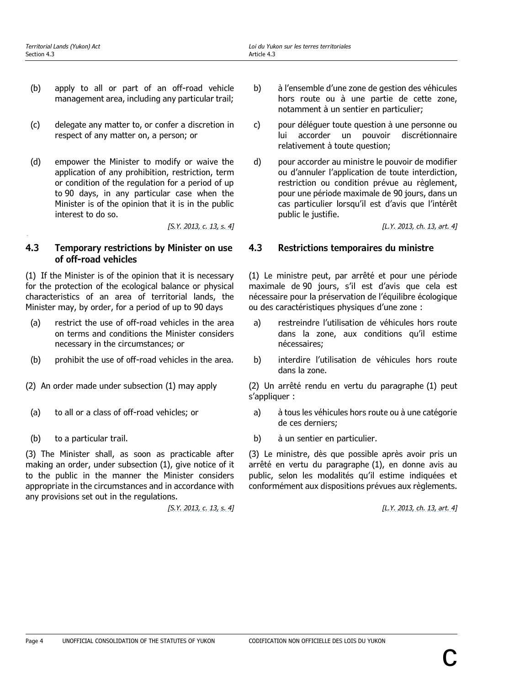<span id="page-7-0"></span>**4.3 Temporary restrictions by Minister on use of off-road vehicles (Restrictions temporaires du ministre)**

- (b) apply to all or part of an off-road vehicle management area, including any particular trail;
- (c) delegate any matter to, or confer a discretion in respect of any matter on, a person; or
- (d) empower the Minister to modify or waive the application of any prohibition, restriction, term or condition of the regulation for a period of up to 90 days, in any particular case when the Minister is of the opinion that it is in the public interest to do so.

### **4.3 Temporary restrictions by Minister on use of off-road vehicles**

(1) If the Minister is of the opinion that it is necessary for the protection of the ecological balance or physical characteristics of an area of territorial lands, the Minister may, by order, for a period of up to 90 days

- (a) restrict the use of off-road vehicles in the area on terms and conditions the Minister considers necessary in the circumstances; or
- (b) prohibit the use of off-road vehicles in the area. b) interdire l'utilisation de véhicules hors route
- 
- 
- 

(3) The Minister shall, as soon as practicable after making an order, under subsection (1), give notice of it to the public in the manner the Minister considers appropriate in the circumstances and in accordance with any provisions set out in the regulations.

- b) à l'ensemble d'une zone de gestion des véhicules hors route ou à une partie de cette zone, notamment à un sentier en particulier;
- c) pour déléguer toute question à une personne ou lui accorder un pouvoir discrétionnaire relativement à toute question;
- d) pour accorder au ministre le pouvoir de modifier ou d'annuler l'application de toute interdiction, restriction ou condition prévue au règlement, pour une période maximale de 90 jours, dans un cas particulier lorsqu'il est d'avis que l'intérêt public le justifie.

*[S.Y. [2013,](https://laws.yukon.ca/cms/images/LEGISLATION/AMENDING/2013/2013-0013/2013-0013.pdf) c. 13, s. 4] [L.Y. [2013,](https://laws.yukon.ca/cms/images/LEGISLATION/AMENDING/2013/2013-0013/2013-0013.pdf) ch. 13, art. 4]*

### <span id="page-7-1"></span>**4.3 Restrictions temporaires du ministre**

(1) Le ministre peut, par arrêté et pour une période maximale de 90 jours, s'il est d'avis que cela est nécessaire pour la préservation de l'équilibre écologique ou des caractéristiques physiques d'une zone :

- a) restreindre l'utilisation de véhicules hors route dans la zone, aux conditions qu'il estime nécessaires;
- dans la zone.

(2) An order made under subsection (1) may apply (2) Un arrêté rendu en vertu du paragraphe (1) peut s'appliquer :

- (a) to all or a class of off-road vehicles; or a) à tous les véhicules hors route ou à une catégorie de ces derniers;
- (b) to a particular trail. b) à un sentier en particulier.

(3) Le ministre, dès que possible après avoir pris un arrêté en vertu du paragraphe (1), en donne avis au public, selon les modalités qu'il estime indiquées et conformément aux dispositions prévues aux règlements.

*[S.Y. [2013,](https://laws.yukon.ca/cms/images/LEGISLATION/AMENDING/2013/2013-0013/2013-0013.pdf) c. 13, s. 4] [L.Y. [2013,](https://laws.yukon.ca/cms/images/LEGISLATION/AMENDING/2013/2013-0013/2013-0013.pdf) ch. 13, art. 4]*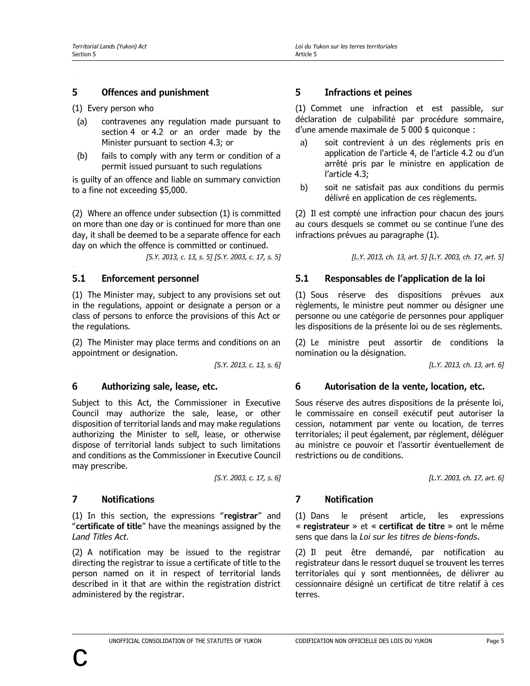<span id="page-8-0"></span>**5 Offences and punis hment (Inf ractions et peines)**

### **5 Offences and punishment 5 Infractions et peines**

(1) Every person who

- (a) contravenes any regulation made pursuant to section 4 or 4.2 or an order made by the Minister pursuant to section 4.3; or
- (b) fails to comply with any term or condition of a permit issued pursuant to such regulations

is guilty of an offence and liable on summary conviction to a fine not exceeding \$5,000.

(2) Where an offence under subsection (1) is committed on more than one day or is continued for more than one day, it shall be deemed to be a separate offence for each day on which the offence is committed or continued.

(1) The Minister may, subject to any provisions set out in the regulations, appoint or designate a person or a class of persons to enforce the provisions of this Act or the regulations.

(2) The Minister may place terms and conditions on an appointment or designation.

Subject to this Act, the Commissioner in Executive Council may authorize the sale, lease, or other disposition of territorial lands and may make regulations authorizing the Minister to sell, lease, or otherwise dispose of territorial lands subject to such limitations and conditions as the Commissioner in Executive Council may prescribe.

### **7 Notifications 7 Notification**

<span id="page-8-3"></span>**7 Notifications (Not ification)**

<span id="page-8-2"></span>**6 Authorizing sale, lease, etc. (A utorisation de la vente, location, etc.)**

(1) In this section, the expressions "**registrar**" and "**certificate of title**" have the meanings assigned by the *Land Titles Act*.

(2) A notification may be issued to the registrar directing the registrar to issue a certificate of title to the person named on it in respect of territorial lands described in it that are within the registration district administered by the registrar.

<span id="page-8-4"></span>(1) Commet une infraction et est passible, sur déclaration de culpabilité par procédure sommaire, d'une amende maximale de 5 000 \$ quiconque :

- a) soit contrevient à un des règlements pris en application de l'article 4, de l'article 4.2 ou d'un arrêté pris par le ministre en application de l'article 4.3;
- b) soit ne satisfait pas aux conditions du permis délivré en application de ces règlements.

(2) Il est compté une infraction pour chacun des jours au cours desquels se commet ou se continue l'une des infractions prévues au paragraphe (1).

[S.Y. [2013,](https://laws.yukon.ca/cms/images/LEGISLATION/AMENDING/2013/2013-0013/2013-0013.pdf) c. 13, s. 5] [S.Y. [2003,](https://laws.yukon.ca/cms/images/LEGISLATION/AMENDING/2003/2003-0017/2003-0017.pdf) c. 17, s. 5] [L.Y. 2013, ch. 13, art. 5] [L.Y. 2003, ch. 17, art. 5]

### <span id="page-8-1"></span>**5.1 Enforcement personnel 5.1 Responsables de l'application de la loi**

<span id="page-8-5"></span>(1) Sous réserve des dispositions prévues aux règlements, le ministre peut nommer ou désigner une personne ou une catégorie de personnes pour appliquer les dispositions de la présente loi ou de ses règlements.

(2) Le ministre peut assortir de conditions la nomination ou la désignation.

*[S.Y. [2013,](https://laws.yukon.ca/cms/images/LEGISLATION/AMENDING/2013/2013-0013/2013-0013.pdf) c. 13, s. 6] [L.Y. [2013,](https://laws.yukon.ca/cms/images/LEGISLATION/AMENDING/2013/2013-0013/2013-0013.pdf) ch. 13, art. 6]*

### **6 Authorizing sale, lease, etc. 6 Autorisation de la vente, location, etc.**

<span id="page-8-6"></span>Sous réserve des autres dispositions de la présente loi, le commissaire en conseil exécutif peut autoriser la cession, notamment par vente ou location, de terres territoriales; il peut également, par règlement, déléguer au ministre ce pouvoir et l'assortir éventuellement de restrictions ou de conditions.

*[S.Y. [2003,](https://laws.yukon.ca/cms/images/LEGISLATION/AMENDING/2003/2003-0017/2003-0017.pdf) c. 17, s. 6] [L.Y. [2003,](https://laws.yukon.ca/cms/images/LEGISLATION/AMENDING/2003/2003-0017/2003-0017.pdf) ch. 17, art. 6]*

<span id="page-8-7"></span>(1) Dans le présent article, les expressions « **registrateur** » et « **certificat de titre** » ont le même sens que dans la *Loi sur les titres de biens-fonds*.

(2) Il peut être demandé, par notification au registrateur dans le ressort duquel se trouvent les terres territoriales qui y sont mentionnées, de délivrer au cessionnaire désigné un certificat de titre relatif à ces terres.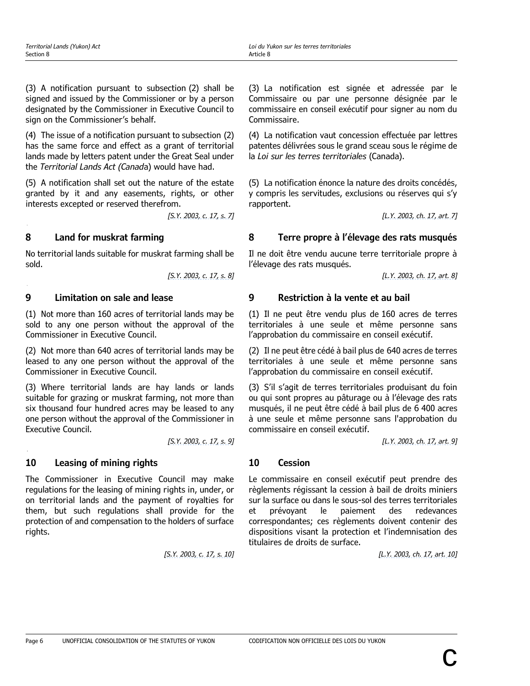(3) A notification pursuant to subsection (2) shall be signed and issued by the Commissioner or by a person designated by the Commissioner in Executive Council to sign on the Commissioner's behalf.

(4) The issue of a notification pursuant to subsection (2) has the same force and effect as a grant of territorial lands made by letters patent under the Great Seal under the *Territorial Lands Act (Canad*a) would have had.

(5) A notification shall set out the nature of the estate granted by it and any easements, rights, or other interests excepted or reserved therefrom.

No territorial lands suitable for muskrat farming shall be sold.

(1) Not more than 160 acres of territorial lands may be sold to any one person without the approval of the Commissioner in Executive Council.

(2) Not more than 640 acres of territorial lands may be leased to any one person without the approval of the Commissioner in Executive Council.

(3) Where territorial lands are hay lands or lands suitable for grazing or muskrat farming, not more than six thousand four hundred acres may be leased to any one person without the approval of the Commissioner in Executive Council.

### **10 Leasing of mining rights 10 Cession**

<span id="page-9-2"></span>**10 Leasing of mining rights (Cession)**

The Commissioner in Executive Council may make regulations for the leasing of mining rights in, under, or on territorial lands and the payment of royalties for them, but such regulations shall provide for the protection of and compensation to the holders of surface rights.

(3) La notification est signée et adressée par le Commissaire ou par une personne désignée par le commissaire en conseil exécutif pour signer au nom du Commissaire.

(4) La notification vaut concession effectuée par lettres patentes délivrées sous le grand sceau sous le régime de la *Loi sur les terres territoriales* (Canada).

(5) La notification énonce la nature des droits concédés, y compris les servitudes, exclusions ou réserves qui s'y rapportent.

*[S.Y. [2003,](https://laws.yukon.ca/cms/images/LEGISLATION/AMENDING/2003/2003-0017/2003-0017.pdf) c. 17, s. 7] [L.Y. [2003,](https://laws.yukon.ca/cms/images/LEGISLATION/AMENDING/2003/2003-0017/2003-0017.pdf) ch. 17, art. 7]*

### <span id="page-9-0"></span>**8 Land for muskrat farming 8 Terre propre à l'élevage des rats musqués**

<span id="page-9-3"></span>Il ne doit être vendu aucune terre territoriale propre à l'élevage des rats musqués.

*[S.Y. [2003,](https://laws.yukon.ca/cms/images/LEGISLATION/AMENDING/2003/2003-0017/2003-0017.pdf) c. 17, s. 8] [L.Y. [2003,](https://laws.yukon.ca/cms/images/LEGISLATION/AMENDING/2003/2003-0017/2003-0017.pdf) ch. 17, art. 8]*

### <span id="page-9-1"></span>**9 Limitation on sale and lease 9 Restriction à la vente et au bail**

<span id="page-9-4"></span>(1) Il ne peut être vendu plus de 160 acres de terres territoriales à une seule et même personne sans l'approbation du commissaire en conseil exécutif.

(2) Il ne peut être cédé à bail plus de 640 acres de terres territoriales à une seule et même personne sans l'approbation du commissaire en conseil exécutif.

(3) S'il s'agit de terres territoriales produisant du foin ou qui sont propres au pâturage ou à l'élevage des rats musqués, il ne peut être cédé à bail plus de 6 400 acres à une seule et même personne sans l'approbation du commissaire en conseil exécutif.

*[S.Y. [2003,](https://laws.yukon.ca/cms/images/LEGISLATION/AMENDING/2003/2003-0017/2003-0017.pdf) c. 17, s. 9] [L.Y. [2003,](https://laws.yukon.ca/cms/images/LEGISLATION/AMENDING/2003/2003-0017/2003-0017.pdf) ch. 17, art. 9]*

<span id="page-9-5"></span>Le commissaire en conseil exécutif peut prendre des règlements régissant la cession à bail de droits miniers sur la surface ou dans le sous-sol des terres territoriales et prévoyant le paiement des redevances correspondantes; ces règlements doivent contenir des dispositions visant la protection et l'indemnisation des titulaires de droits de surface.

*[S.Y. [2003,](https://laws.yukon.ca/cms/images/LEGISLATION/AMENDING/2003/2003-0017/2003-0017.pdf) c. 17, s. 10] [L.Y. [2003,](https://laws.yukon.ca/cms/images/LEGISLATION/AMENDING/2003/2003-0017/2003-0017.pdf) ch. 17, art. 10]*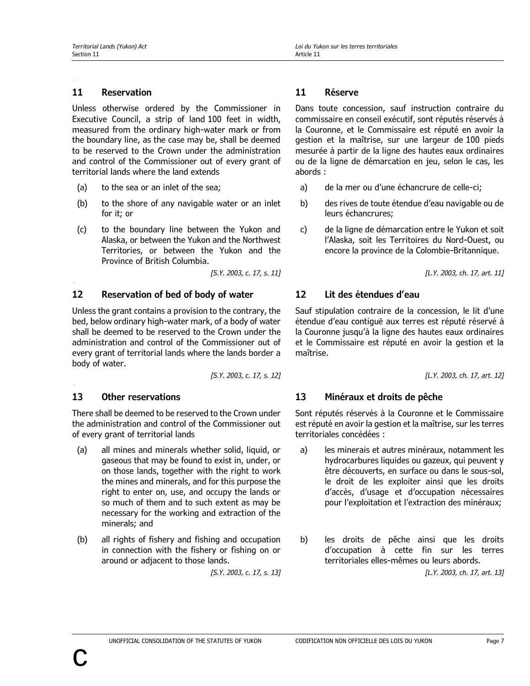### **11 Reservation 11 Réserve**

<span id="page-10-0"></span>**11 Reservat ion (Réserve)**

Unless otherwise ordered by the Commissioner in Executive Council, a strip of land 100 feet in width, measured from the ordinary high-water mark or from the boundary line, as the case may be, shall be deemed to be reserved to the Crown under the administration and control of the Commissioner out of every grant of territorial lands where the land extends

- 
- (b) to the shore of any navigable water or an inlet for it; or
- (c) to the boundary line between the Yukon and Alaska, or between the Yukon and the Northwest Territories, or between the Yukon and the Province of British Columbia.

### <span id="page-10-1"></span>**12 Reservation of bed of body of water 12 Lit des étendues d'eau**

Unless the grant contains a provision to the contrary, the bed, below ordinary high-water mark, of a body of water shall be deemed to be reserved to the Crown under the administration and control of the Commissioner out of every grant of territorial lands where the lands border a body of water.

<span id="page-10-2"></span>**13 Other reservations (Minéraux et droits de pêche)**

There shall be deemed to be reserved to the Crown under the administration and control of the Commissioner out of every grant of territorial lands

- (a) all mines and minerals whether solid, liquid, or gaseous that may be found to exist in, under, or on those lands, together with the right to work the mines and minerals, and for this purpose the right to enter on, use, and occupy the lands or so much of them and to such extent as may be necessary for the working and extraction of the minerals; and
- (b) all rights of fishery and fishing and occupation in connection with the fishery or fishing on or around or adjacent to those lands.

<span id="page-10-3"></span>Dans toute concession, sauf instruction contraire du commissaire en conseil exécutif, sont réputés réservés à la Couronne, et le Commissaire est réputé en avoir la gestion et la maîtrise, sur une largeur de 100 pieds mesurée à partir de la ligne des hautes eaux ordinaires ou de la ligne de démarcation en jeu, selon le cas, les abords :

- (a) to the sea or an inlet of the sea; a) de la mer ou d'une échancrure de celle-ci;
	- b) des rives de toute étendue d'eau navigable ou de leurs échancrures;
	- c) de la ligne de démarcation entre le Yukon et soit l'Alaska, soit les Territoires du Nord-Ouest, ou encore la province de la Colombie-Britannique.

*[S.Y. [2003,](https://laws.yukon.ca/cms/images/LEGISLATION/AMENDING/2003/2003-0017/2003-0017.pdf) c. 17, s. 11] [L.Y. [2003,](https://laws.yukon.ca/cms/images/LEGISLATION/AMENDING/2003/2003-0017/2003-0017.pdf) ch. 17, art. 11]*

<span id="page-10-4"></span>Sauf stipulation contraire de la concession, le lit d'une étendue d'eau contiguë aux terres est réputé réservé à la Couronne jusqu'à la ligne des hautes eaux ordinaires et le Commissaire est réputé en avoir la gestion et la maîtrise.

*[S.Y. [2003,](https://laws.yukon.ca/cms/images/LEGISLATION/AMENDING/2003/2003-0017/2003-0017.pdf) c. 17, s. 12] [L.Y. [2003,](https://laws.yukon.ca/cms/images/LEGISLATION/AMENDING/2003/2003-0017/2003-0017.pdf) ch. 17, art. 12]*

### **13 Other reservations 13 Minéraux et droits de pêche**

<span id="page-10-5"></span>Sont réputés réservés à la Couronne et le Commissaire est réputé en avoir la gestion et la maîtrise, sur les terres territoriales concédées :

- a) les minerais et autres minéraux, notamment les hydrocarbures liquides ou gazeux, qui peuvent y être découverts, en surface ou dans le sous-sol, le droit de les exploiter ainsi que les droits d'accès, d'usage et d'occupation nécessaires pour l'exploitation et l'extraction des minéraux;
- b) les droits de pêche ainsi que les droits d'occupation à cette fin sur les terres territoriales elles-mêmes ou leurs abords.

*[S.Y. [2003,](https://laws.yukon.ca/cms/images/LEGISLATION/AMENDING/2003/2003-0017/2003-0017.pdf) c. 17, s. 13] [L.Y. [2003,](https://laws.yukon.ca/cms/images/LEGISLATION/AMENDING/2003/2003-0017/2003-0017.pdf) ch. 17, art. 13]*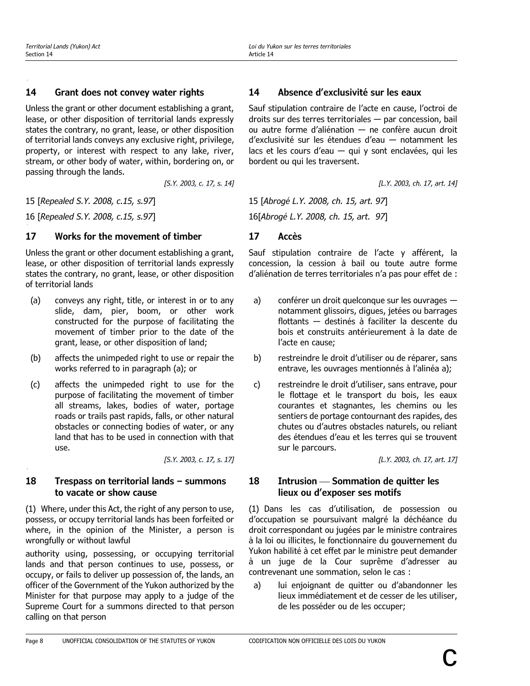<span id="page-11-0"></span>**14 Grant does not convey water rights (A bsence d'exclusivité sur les eaux)**

### **14 Grant does not convey water rights 14 Absence d'exclusivité sur les eaux**

Unless the grant or other document establishing a grant, lease, or other disposition of territorial lands expressly states the contrary, no grant, lease, or other disposition of territorial lands conveys any exclusive right, privilege, property, or interest with respect to any lake, river, stream, or other body of water, within, bordering on, or passing through the lands.

16 [*Repealed S.Y. 2008, c.15, s.97*] 16[*Abrogé L.Y. 2008, ch. 15, art. 97*]

### <span id="page-11-1"></span>**17 Works for the movement of timber 17 Accès**

Unless the grant or other document establishing a grant, lease, or other disposition of territorial lands expressly states the contrary, no grant, lease, or other disposition of territorial lands

- (a) conveys any right, title, or interest in or to any slide, dam, pier, boom, or other work constructed for the purpose of facilitating the movement of timber prior to the date of the grant, lease, or other disposition of land;
- (b) affects the unimpeded right to use or repair the works referred to in paragraph (a); or
- (c) affects the unimpeded right to use for the purpose of facilitating the movement of timber all streams, lakes, bodies of water, portage roads or trails past rapids, falls, or other natural obstacles or connecting bodies of water, or any land that has to be used in connection with that use.

### **18 Trespass on territorial lands – summons to vacate or show cause**

<span id="page-11-2"></span>**18 Tres pass on territorial lands – summons to vacate or show cause (Intrusion Sommation de quitter les lieux ou d'exposer ses motifs)**

(1) Where, under this Act, the right of any person to use, possess, or occupy territorial lands has been forfeited or where, in the opinion of the Minister, a person is wrongfully or without lawful

authority using, possessing, or occupying territorial lands and that person continues to use, possess, or occupy, or fails to deliver up possession of, the lands, an officer of the Government of the Yukon authorized by the Minister for that purpose may apply to a judge of the Supreme Court for a summons directed to that person calling on that person

<span id="page-11-3"></span>Sauf stipulation contraire de l'acte en cause, l'octroi de droits sur des terres territoriales — par concession, bail ou autre forme d'aliénation — ne confère aucun droit d'exclusivité sur les étendues d'eau — notamment les lacs et les cours d'eau — qui y sont enclavées, qui les bordent ou qui les traversent.

*[S.Y. [2003,](https://laws.yukon.ca/cms/images/LEGISLATION/AMENDING/2003/2003-0017/2003-0017.pdf) c. 17, s. 14] [L.Y. [2003,](https://laws.yukon.ca/cms/images/LEGISLATION/AMENDING/2003/2003-0017/2003-0017.pdf) ch. 17, art. 14]*

15 [*Repealed S.Y. 2008, c.15, s.97*] 15 [*Abrogé L.Y. 2008, ch. 15, art. 97*]

<span id="page-11-4"></span>Sauf stipulation contraire de l'acte y afférent, la concession, la cession à bail ou toute autre forme d'aliénation de terres territoriales n'a pas pour effet de :

- a) conférer un droit quelconque sur les ouvrages notamment glissoirs, digues, jetées ou barrages flottants — destinés à faciliter la descente du bois et construits antérieurement à la date de l'acte en cause;
- b) restreindre le droit d'utiliser ou de réparer, sans entrave, les ouvrages mentionnés à l'alinéa a);
- c) restreindre le droit d'utiliser, sans entrave, pour le flottage et le transport du bois, les eaux courantes et stagnantes, les chemins ou les sentiers de portage contournant des rapides, des chutes ou d'autres obstacles naturels, ou reliant des étendues d'eau et les terres qui se trouvent sur le parcours.

*[S.Y. [2003,](https://laws.yukon.ca/cms/images/LEGISLATION/AMENDING/2003/2003-0017/2003-0017.pdf) c. 17, s. 17] [L.Y. [2003,](https://laws.yukon.ca/cms/images/LEGISLATION/AMENDING/2003/2003-0017/2003-0017.pdf) ch. 17, art. 17]*

### <span id="page-11-5"></span>**18 Intrusion Sommation de quitter les lieux ou d'exposer ses motifs**

(1) Dans les cas d'utilisation, de possession ou d'occupation se poursuivant malgré la déchéance du droit correspondant ou jugées par le ministre contraires à la loi ou illicites, le fonctionnaire du gouvernement du Yukon habilité à cet effet par le ministre peut demander à un juge de la Cour suprême d'adresser au contrevenant une sommation, selon le cas :

a) lui enjoignant de quitter ou d'abandonner les lieux immédiatement et de cesser de les utiliser, de les posséder ou de les occuper;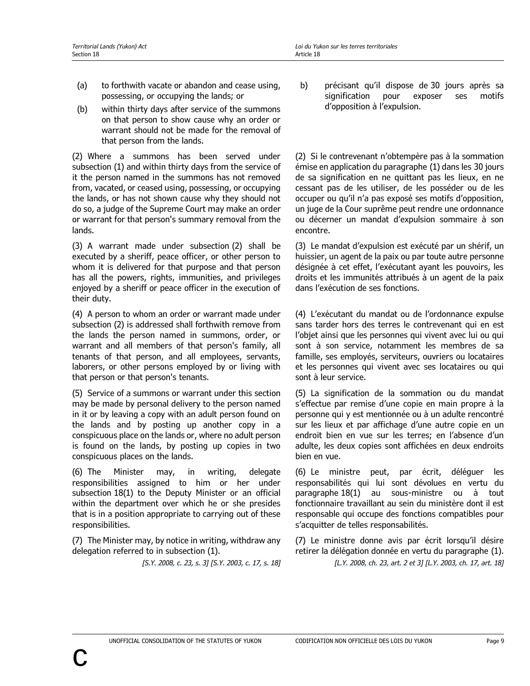- (a) to forthwith vacate or abandon and cease using, possessing, or occupying the lands; or
- (b) within thirty days after service of the summons on that person to show cause why an order or warrant should not be made for the removal of that person from the lands.

(2) Where a summons has been served under subsection (1) and within thirty days from the service of it the person named in the summons has not removed from, vacated, or ceased using, possessing, or occupying the lands, or has not shown cause why they should not do so, a judge of the Supreme Court may make an order or warrant for that person's summary removal from the lands.

(3) A warrant made under subsection (2) shall be executed by a sheriff, peace officer, or other person to whom it is delivered for that purpose and that person has all the powers, rights, immunities, and privileges enjoyed by a sheriff or peace officer in the execution of their duty.

(4) A person to whom an order or warrant made under subsection (2) is addressed shall forthwith remove from the lands the person named in summons, order, or warrant and all members of that person's family, all tenants of that person, and all employees, servants, laborers, or other persons employed by or living with that person or that person's tenants.

(5) Service of a summons or warrant under this section may be made by personal delivery to the person named in it or by leaving a copy with an adult person found on the lands and by posting up another copy in a conspicuous place on the lands or, where no adult person is found on the lands, by posting up copies in two conspicuous places on the lands.

(6) The Minister may, in writing, delegate responsibilities assigned to him or her under subsection 18(1) to the Deputy Minister or an official within the department over which he or she presides that is in a position appropriate to carrying out of these responsibilities.

(7) The Minister may, by notice in writing, withdraw any delegation referred to in subsection (1).

b) précisant qu'il dispose de 30 jours après sa signification pour exposer ses motifs d'opposition à l'expulsion.

(2) Si le contrevenant n'obtempère pas à la sommation émise en application du paragraphe (1) dans les 30 jours de sa signification en ne quittant pas les lieux, en ne cessant pas de les utiliser, de les posséder ou de les occuper ou qu'il n'a pas exposé ses motifs d'opposition, un juge de la Cour suprême peut rendre une ordonnance ou décerner un mandat d'expulsion sommaire à son encontre.

(3) Le mandat d'expulsion est exécuté par un shérif, un huissier, un agent de la paix ou par toute autre personne désignée à cet effet, l'exécutant ayant les pouvoirs, les droits et les immunités attribués à un agent de la paix dans l'exécution de ses fonctions.

(4) L'exécutant du mandat ou de l'ordonnance expulse sans tarder hors des terres le contrevenant qui en est l'objet ainsi que les personnes qui vivent avec lui ou qui sont à son service, notamment les membres de sa famille, ses employés, serviteurs, ouvriers ou locataires et les personnes qui vivent avec ses locataires ou qui sont à leur service.

(5) La signification de la sommation ou du mandat s'effectue par remise d'une copie en main propre à la personne qui y est mentionnée ou à un adulte rencontré sur les lieux et par affichage d'une autre copie en un endroit bien en vue sur les terres; en l'absence d'un adulte, les deux copies sont affichées en deux endroits bien en vue.

(6) Le ministre peut, par écrit, déléguer les responsabilités qui lui sont dévolues en vertu du paragraphe 18(1) au sous-ministre ou à tout fonctionnaire travaillant au sein du ministère dont il est responsable qui occupe des fonctions compatibles pour s'acquitter de telles responsabilités.

(7) Le ministre donne avis par écrit lorsqu'il désire retirer la délégation donnée en vertu du paragraphe (1). [S.Y. [2008,](https://laws.yukon.ca/cms/images/LEGISLATION/AMENDING/2008/2008-0023/2008-0023.pdf) c. 23, s. 3] [S.Y. [2003,](https://laws.yukon.ca/cms/images/LEGISLATION/AMENDING/2003/2003-0017/2003-0017.pdf) c. 17, s. 18] [L.Y. 2008, ch. 23, art. 2 et 3] [L.Y. 2003, ch. 17, art. 18]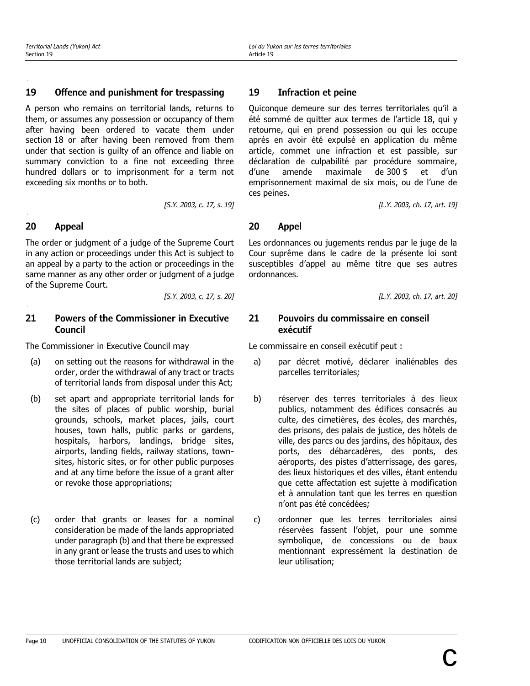<span id="page-13-0"></span>**19 Offence and punishment for tres passing (Infraction et peine)**

### **19 Offence and punishment for trespassing 19 Infraction et peine**

A person who remains on territorial lands, returns to them, or assumes any possession or occupancy of them after having been ordered to vacate them under section 18 or after having been removed from them under that section is guilty of an offence and liable on summary conviction to a fine not exceeding three hundred dollars or to imprisonment for a term not exceeding six months or to both.

### <span id="page-13-1"></span>**20 Appeal 20 Appel**

<span id="page-13-2"></span>**21 Powers of the Commissioner in Execut ive Council (Pouvoirs du commissaire en conseil exéc utif)**

The order or judgment of a judge of the Supreme Court in any action or proceedings under this Act is subject to an appeal by a party to the action or proceedings in the same manner as any other order or judgment of a judge of the Supreme Court.

### **21 Powers of the Commissioner in Executive Council**

The Commissioner in Executive Council may Le commissaire en conseil exécutif peut :

- (a) on setting out the reasons for withdrawal in the order, order the withdrawal of any tract or tracts of territorial lands from disposal under this Act;
- (b) set apart and appropriate territorial lands for the sites of places of public worship, burial grounds, schools, market places, jails, court houses, town halls, public parks or gardens, hospitals, harbors, landings, bridge sites, airports, landing fields, railway stations, townsites, historic sites, or for other public purposes and at any time before the issue of a grant alter or revoke those appropriations;
- (c) order that grants or leases for a nominal consideration be made of the lands appropriated under paragraph (b) and that there be expressed in any grant or lease the trusts and uses to which those territorial lands are subject;

<span id="page-13-3"></span>Quiconque demeure sur des terres territoriales qu'il a été sommé de quitter aux termes de l'article 18, qui y retourne, qui en prend possession ou qui les occupe après en avoir été expulsé en application du même article, commet une infraction et est passible, sur déclaration de culpabilité par procédure sommaire, d'une amende maximale de 300 \$ et d'un emprisonnement maximal de six mois, ou de l'une de ces peines.

*[S.Y. [2003,](https://laws.yukon.ca/cms/images/LEGISLATION/AMENDING/2003/2003-0017/2003-0017.pdf) c. 17, s. 19] [L.Y. [2003,](https://laws.yukon.ca/cms/images/LEGISLATION/AMENDING/2003/2003-0017/2003-0017.pdf) ch. 17, art. 19]*

<span id="page-13-4"></span>Les ordonnances ou jugements rendus par le juge de la Cour suprême dans le cadre de la présente loi sont susceptibles d'appel au même titre que ses autres ordonnances.

*[S.Y. [2003,](https://laws.yukon.ca/cms/images/LEGISLATION/AMENDING/2003/2003-0017/2003-0017.pdf) c. 17, s. 20] [L.Y. [2003,](https://laws.yukon.ca/cms/images/LEGISLATION/AMENDING/2003/2003-0017/2003-0017.pdf) ch. 17, art. 20]*

### <span id="page-13-5"></span>**21 Pouvoirs du commissaire en conseil exécutif**

- a) par décret motivé, déclarer inaliénables des parcelles territoriales;
- b) réserver des terres territoriales à des lieux publics, notamment des édifices consacrés au culte, des cimetières, des écoles, des marchés, des prisons, des palais de justice, des hôtels de ville, des parcs ou des jardins, des hôpitaux, des ports, des débarcadères, des ponts, des aéroports, des pistes d'atterrissage, des gares, des lieux historiques et des villes, étant entendu que cette affectation est sujette à modification et à annulation tant que les terres en question n'ont pas été concédées;
- c) ordonner que les terres territoriales ainsi réservées fassent l'objet, pour une somme symbolique, de concessions ou de baux mentionnant expressément la destination de leur utilisation;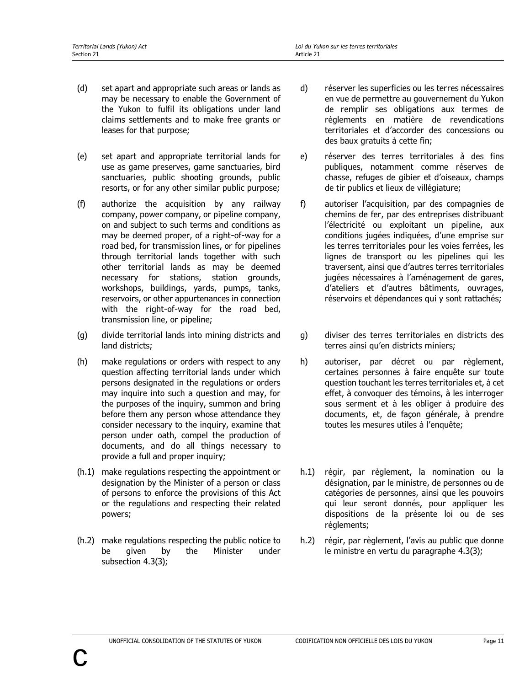- (d) set apart and appropriate such areas or lands as may be necessary to enable the Government of the Yukon to fulfil its obligations under land claims settlements and to make free grants or leases for that purpose;
- (e) set apart and appropriate territorial lands for use as game preserves, game sanctuaries, bird sanctuaries, public shooting grounds, public resorts, or for any other similar public purpose;
- (f) authorize the acquisition by any railway company, power company, or pipeline company, on and subject to such terms and conditions as may be deemed proper, of a right-of-way for a road bed, for transmission lines, or for pipelines through territorial lands together with such other territorial lands as may be deemed necessary for stations, station grounds, workshops, buildings, yards, pumps, tanks, reservoirs, or other appurtenances in connection with the right-of-way for the road bed, transmission line, or pipeline;
- (g) divide territorial lands into mining districts and land districts;
- (h) make regulations or orders with respect to any question affecting territorial lands under which persons designated in the regulations or orders may inquire into such a question and may, for the purposes of the inquiry, summon and bring before them any person whose attendance they consider necessary to the inquiry, examine that person under oath, compel the production of documents, and do all things necessary to provide a full and proper inquiry;
- (h.1) make regulations respecting the appointment or designation by the Minister of a person or class of persons to enforce the provisions of this Act or the regulations and respecting their related powers;
- (h.2) make regulations respecting the public notice to be given by the Minister under subsection 4.3(3);
- d) réserver les superficies ou les terres nécessaires en vue de permettre au gouvernement du Yukon de remplir ses obligations aux termes de règlements en matière de revendications territoriales et d'accorder des concessions ou des baux gratuits à cette fin;
- e) réserver des terres territoriales à des fins publiques, notamment comme réserves de chasse, refuges de gibier et d'oiseaux, champs de tir publics et lieux de villégiature;
- f) autoriser l'acquisition, par des compagnies de chemins de fer, par des entreprises distribuant l'électricité ou exploitant un pipeline, aux conditions jugées indiquées, d'une emprise sur les terres territoriales pour les voies ferrées, les lignes de transport ou les pipelines qui les traversent, ainsi que d'autres terres territoriales jugées nécessaires à l'aménagement de gares, d'ateliers et d'autres bâtiments, ouvrages, réservoirs et dépendances qui y sont rattachés;
- g) diviser des terres territoriales en districts des terres ainsi qu'en districts miniers;
- h) autoriser, par décret ou par règlement, certaines personnes à faire enquête sur toute question touchant les terres territoriales et, à cet effet, à convoquer des témoins, à les interroger sous serment et à les obliger à produire des documents, et, de façon générale, à prendre toutes les mesures utiles à l'enquête;
- h.1) régir, par règlement, la nomination ou la désignation, par le ministre, de personnes ou de catégories de personnes, ainsi que les pouvoirs qui leur seront donnés, pour appliquer les dispositions de la présente loi ou de ses règlements;
- h.2) régir, par règlement, l'avis au public que donne le ministre en vertu du paragraphe 4.3(3);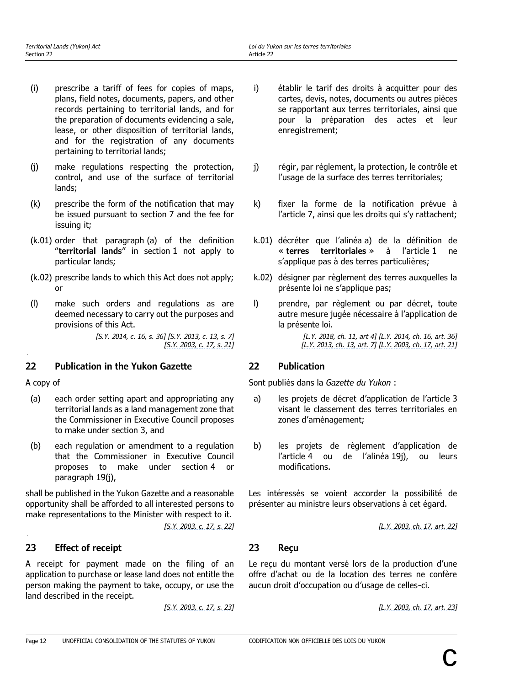- (i) prescribe a tariff of fees for copies of maps, plans, field notes, documents, papers, and other records pertaining to territorial lands, and for the preparation of documents evidencing a sale, lease, or other disposition of territorial lands, and for the registration of any documents pertaining to territorial lands;
- (j) make regulations respecting the protection, control, and use of the surface of territorial lands;
- (k) prescribe the form of the notification that may be issued pursuant to section 7 and the fee for issuing it;
- (k.01) order that paragraph (a) of the definition "**territorial lands**" in section 1 not apply to particular lands;
- (k.02) prescribe lands to which this Act does not apply; or
- (l) make such orders and regulations as are deemed necessary to carry out the purposes and provisions of this Act.

*[S.Y. [2014,](https://laws.yukon.ca/cms/images/LEGISLATION/AMENDING/2014/2014-0016/2014-0016.pdf) c. 16, s. 36] [S.Y. [2013,](https://laws.yukon.ca/cms/images/LEGISLATION/AMENDING/2013/2013-0013/2013-0013.pdf) c. 13, s. 7] [S.Y. [2003,](https://laws.yukon.ca/cms/images/LEGISLATION/AMENDING/2003/2003-0017/2003-0017.pdf) c. 17, s. 21]*

### <span id="page-15-0"></span>**22 Publication in the Yukon Gazette 22 Publication**

- (a) each order setting apart and appropriating any territorial lands as a land management zone that the Commissioner in Executive Council proposes to make under section 3, and
- (b) each regulation or amendment to a regulation that the Commissioner in Executive Council proposes to make under section 4 or paragraph 19(j),

shall be published in the Yukon Gazette and a reasonable opportunity shall be afforded to all interested persons to make representations to the Minister with respect to it.

### <span id="page-15-1"></span>**23 Effect of receipt 23 Reçu**

A receipt for payment made on the filing of an application to purchase or lease land does not entitle the person making the payment to take, occupy, or use the land described in the receipt.

- j) régir, par règlement, la protection, le contrôle et l'usage de la surface des terres territoriales;
- k) fixer la forme de la notification prévue à l'article 7, ainsi que les droits qui s'y rattachent;
- k.01) décréter que l'alinéa a) de la définition de « **terres territoriales** » à l'article 1 ne s'applique pas à des terres particulières;
- k.02) désigner par règlement des terres auxquelles la présente loi ne s'applique pas;
- l) prendre, par règlement ou par décret, toute autre mesure jugée nécessaire à l'application de la présente loi.

*[L.Y. [2018,](https://laws.yukon.ca/cms/images/LEGISLATION/AMENDING/2018/2018-0011/2018-0011.pdf) ch. 11, art 4] [L.Y. [2014,](https://laws.yukon.ca/cms/images/LEGISLATION/AMENDING/2014/2014-0016/2014-0016.pdf) ch. 16, art. 36] [L.Y. [2013,](https://laws.yukon.ca/cms/images/LEGISLATION/AMENDING/2013/2013-0013/2013-0013.pdf) ch. 13, art. 7] [L.Y. [2003,](https://laws.yukon.ca/cms/images/LEGISLATION/AMENDING/2003/2003-0017/2003-0017.pdf) ch. 17, art. 21]*

A copy of Sont publiés dans la *Gazette du Yukon* :

- <span id="page-15-2"></span>a) les projets de décret d'application de l'article 3 visant le classement des terres territoriales en zones d'aménagement;
- b) les projets de règlement d'application de l'article 4 ou de l'alinéa 19j), ou leurs modifications.

Les intéressés se voient accorder la possibilité de présenter au ministre leurs observations à cet égard.

*[S.Y. [2003,](https://laws.yukon.ca/cms/images/LEGISLATION/AMENDING/2003/2003-0017/2003-0017.pdf) c. 17, s. 22] [L.Y. [2003,](https://laws.yukon.ca/cms/images/LEGISLATION/AMENDING/2003/2003-0017/2003-0017.pdf) ch. 17, art. 22]*

<span id="page-15-3"></span>Le reçu du montant versé lors de la production d'une offre d'achat ou de la location des terres ne confère aucun droit d'occupation ou d'usage de celles-ci.

*[S.Y. [2003,](https://laws.yukon.ca/cms/images/LEGISLATION/AMENDING/2003/2003-0017/2003-0017.pdf) c. 17, s. 23] [L.Y. [2003,](https://laws.yukon.ca/cms/images/LEGISLATION/AMENDING/2003/2003-0017/2003-0017.pdf) ch. 17, art. 23]*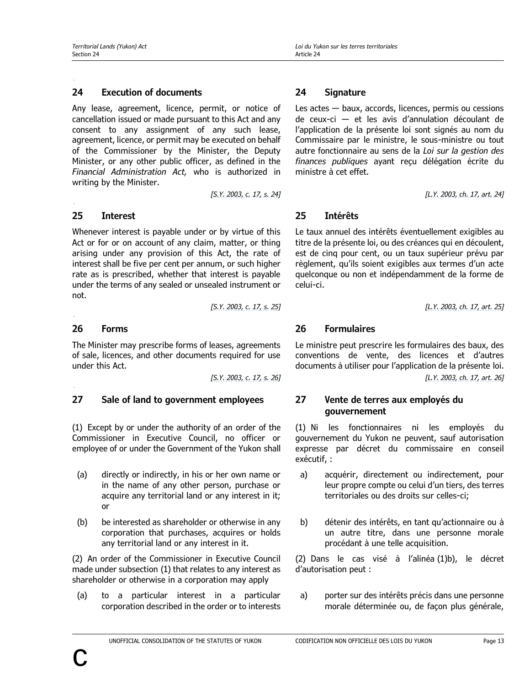<span id="page-16-0"></span>**24 Execution of documents (Signat ure)**

### **24 Execution of documents 24 Signature**

Any lease, agreement, licence, permit, or notice of cancellation issued or made pursuant to this Act and any consent to any assignment of any such lease, agreement, licence, or permit may be executed on behalf of the Commissioner by the Minister, the Deputy Minister, or any other public officer, as defined in the *Financial Administration Act,* who is authorized in writing by the Minister.

### **25 Interest 25 Intérêts**

<span id="page-16-1"></span>**25 Interest (Intérêts)**

Whenever interest is payable under or by virtue of this Act or for or on account of any claim, matter, or thing arising under any provision of this Act, the rate of interest shall be five per cent per annum, or such higher rate as is prescribed, whether that interest is payable under the terms of any sealed or unsealed instrument or not.

<span id="page-16-3"></span>**27 Sale of land to government employees (Vente de terres aux employés du gouvernement)**

<span id="page-16-2"></span>**26 Forms (Formulaires)**

The Minister may prescribe forms of leases, agreements of sale, licences, and other documents required for use under this Act.

### **27 Sale of land to government employees 27 Vente de terres aux employés du**

(1) Except by or under the authority of an order of the Commissioner in Executive Council, no officer or employee of or under the Government of the Yukon shall

- (a) directly or indirectly, in his or her own name or in the name of any other person, purchase or acquire any territorial land or any interest in it; or
- (b) be interested as shareholder or otherwise in any corporation that purchases, acquires or holds any territorial land or any interest in it.

(2) An order of the Commissioner in Executive Council made under subsection (1) that relates to any interest as shareholder or otherwise in a corporation may apply

(a) to a particular interest in a particular corporation described in the order or to interests

<span id="page-16-4"></span>Les actes — baux, accords, licences, permis ou cessions de ceux-ci — et les avis d'annulation découlant de l'application de la présente loi sont signés au nom du Commissaire par le ministre, le sous-ministre ou tout autre fonctionnaire au sens de la *Loi sur la gestion des finances publiques* ayant reçu délégation écrite du ministre à cet effet.

*[S.Y. [2003,](https://laws.yukon.ca/cms/images/LEGISLATION/AMENDING/2003/2003-0017/2003-0017.pdf) c. 17, s. 24] [L.Y. [2003,](https://laws.yukon.ca/cms/images/LEGISLATION/AMENDING/2003/2003-0017/2003-0017.pdf) ch. 17, art. 24]*

<span id="page-16-5"></span>Le taux annuel des intérêts éventuellement exigibles au titre de la présente loi, ou des créances qui en découlent, est de cinq pour cent, ou un taux supérieur prévu par règlement, qu'ils soient exigibles aux termes d'un acte quelconque ou non et indépendamment de la forme de celui-ci.

*[S.Y. [2003,](https://laws.yukon.ca/cms/images/LEGISLATION/AMENDING/2003/2003-0017/2003-0017.pdf) c. 17, s. 25] [L.Y. [2003,](https://laws.yukon.ca/cms/images/LEGISLATION/AMENDING/2003/2003-0017/2003-0017.pdf) ch. 17, art. 25]*

### **26 Forms 26 Formulaires**

Le ministre peut prescrire les formulaires des baux, des conventions de vente, des licences et d'autres documents à utiliser pour l'application de la présente loi. *[S.Y. [2003,](https://laws.yukon.ca/cms/images/LEGISLATION/AMENDING/2003/2003-0017/2003-0017.pdf) c. 17, s. 26] [L.Y. [2003,](https://laws.yukon.ca/cms/images/LEGISLATION/AMENDING/2003/2003-0017/2003-0017.pdf) ch. 17, art. 26]*

# <span id="page-16-7"></span><span id="page-16-6"></span>**gouvernement**

(1) Ni les fonctionnaires ni les employés du gouvernement du Yukon ne peuvent, sauf autorisation expresse par décret du commissaire en conseil exécutif, :

- a) acquérir, directement ou indirectement, pour leur propre compte ou celui d'un tiers, des terres territoriales ou des droits sur celles-ci;
- b) détenir des intérêts, en tant qu'actionnaire ou à un autre titre, dans une personne morale procédant à une telle acquisition.

(2) Dans le cas visé à l'alinéa (1)b), le décret d'autorisation peut :

a) porter sur des intérêts précis dans une personne morale déterminée ou, de façon plus générale,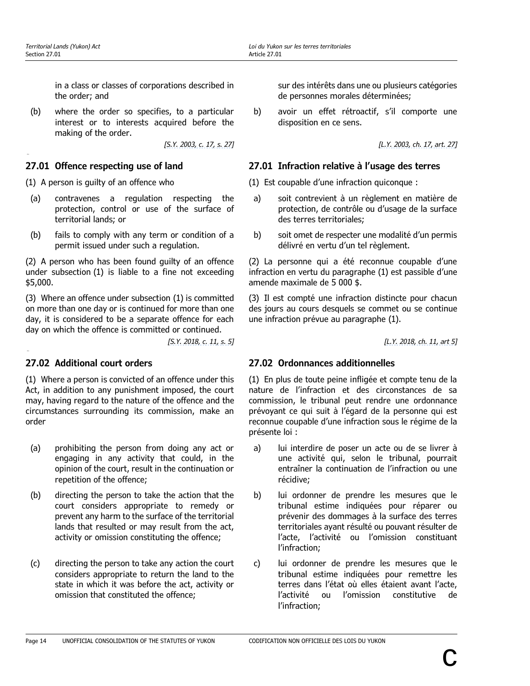<span id="page-17-1"></span>**27.01 Offence respecting use of land (Inf raction relative à l'us age des terres)**

<span id="page-17-2"></span>**27.02 Addit ional court orders (Ordonnances addit ionnelles)**

in a class or classes of corporations described in the order; and

(b) where the order so specifies, to a particular interest or to interests acquired before the making of the order.

- (a) contravenes a regulation respecting the protection, control or use of the surface of territorial lands; or
- (b) fails to comply with any term or condition of a permit issued under such a regulation.

(2) A person who has been found guilty of an offence under subsection (1) is liable to a fine not exceeding \$5,000.

(3) Where an offence under subsection (1) is committed on more than one day or is continued for more than one day, it is considered to be a separate offence for each day on which the offence is committed or continued.

(1) Where a person is convicted of an offence under this Act, in addition to any punishment imposed, the court may, having regard to the nature of the offence and the circumstances surrounding its commission, make an order

- (a) prohibiting the person from doing any act or engaging in any activity that could, in the opinion of the court, result in the continuation or repetition of the offence;
- (b) directing the person to take the action that the court considers appropriate to remedy or prevent any harm to the surface of the territorial lands that resulted or may result from the act, activity or omission constituting the offence;
- (c) directing the person to take any action the court considers appropriate to return the land to the state in which it was before the act, activity or omission that constituted the offence;

sur des intérêts dans une ou plusieurs catégories de personnes morales déterminées;

<span id="page-17-0"></span>b) avoir un effet rétroactif, s'il comporte une disposition en ce sens.

*[S.Y. [2003,](https://laws.yukon.ca/cms/images/LEGISLATION/AMENDING/2003/2003-0017/2003-0017.pdf) c. 17, s. 27] [L.Y. [2003,](https://laws.yukon.ca/cms/images/LEGISLATION/AMENDING/2003/2003-0017/2003-0017.pdf) ch. 17, art. 27]*

### **27.01 Offence respecting use of land 27.01 Infraction relative à l'usage des terres**

- (1) A person is guilty of an offence who (1) Est coupable d'une infraction quiconque :
	- a) soit contrevient à un règlement en matière de protection, de contrôle ou d'usage de la surface des terres territoriales;
	- b) soit omet de respecter une modalité d'un permis délivré en vertu d'un tel règlement.

(2) La personne qui a été reconnue coupable d'une infraction en vertu du paragraphe (1) est passible d'une amende maximale de 5 000 \$.

(3) Il est compté une infraction distincte pour chacun des jours au cours desquels se commet ou se continue une infraction prévue au paragraphe (1).

*[S.Y. [2018,](https://laws.yukon.ca/cms/images/LEGISLATION/AMENDING/2018/2018-0011/2018-0011.pdf) c. 11, s. 5] [L.Y. [2018,](https://laws.yukon.ca/cms/images/LEGISLATION/AMENDING/2018/2018-0011/2018-0011.pdf) ch. 11, art 5]*

### **27.02 Additional court orders 27.02 Ordonnances additionnelles**

<span id="page-17-3"></span>(1) En plus de toute peine infligée et compte tenu de la nature de l'infraction et des circonstances de sa commission, le tribunal peut rendre une ordonnance prévoyant ce qui suit à l'égard de la personne qui est reconnue coupable d'une infraction sous le régime de la présente loi :

- a) lui interdire de poser un acte ou de se livrer à une activité qui, selon le tribunal, pourrait entraîner la continuation de l'infraction ou une récidive;
- b) lui ordonner de prendre les mesures que le tribunal estime indiquées pour réparer ou prévenir des dommages à la surface des terres territoriales ayant résulté ou pouvant résulter de l'acte, l'activité ou l'omission constituant l'infraction;
- c) lui ordonner de prendre les mesures que le tribunal estime indiquées pour remettre les terres dans l'état où elles étaient avant l'acte, l'activité ou l'omission constitutive de l'infraction;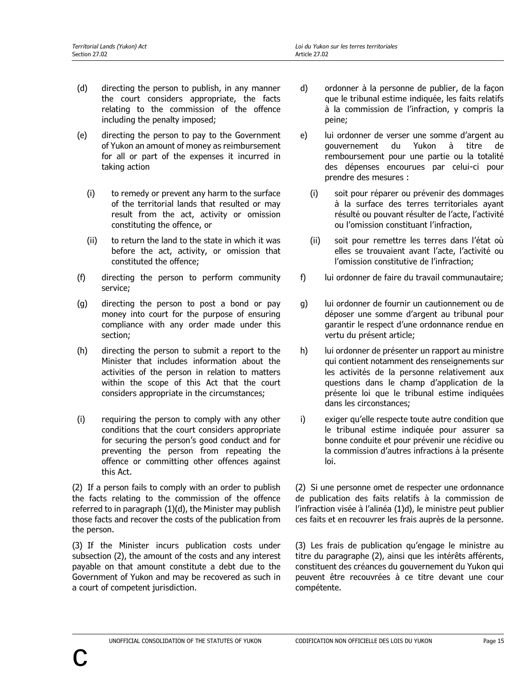- (d) directing the person to publish, in any manner the court considers appropriate, the facts relating to the commission of the offence including the penalty imposed;
- (e) directing the person to pay to the Government of Yukon an amount of money as reimbursement for all or part of the expenses it incurred in taking action
	- (i) to remedy or prevent any harm to the surface of the territorial lands that resulted or may result from the act, activity or omission constituting the offence, or
	- (ii) to return the land to the state in which it was before the act, activity, or omission that constituted the offence;
- (f) directing the person to perform community service;
- (g) directing the person to post a bond or pay money into court for the purpose of ensuring compliance with any order made under this section;
- (h) directing the person to submit a report to the Minister that includes information about the activities of the person in relation to matters within the scope of this Act that the court considers appropriate in the circumstances;
- (i) requiring the person to comply with any other conditions that the court considers appropriate for securing the person's good conduct and for preventing the person from repeating the offence or committing other offences against this Act.

(2) If a person fails to comply with an order to publish the facts relating to the commission of the offence referred to in paragraph (1)(d), the Minister may publish those facts and recover the costs of the publication from the person.

(3) If the Minister incurs publication costs under subsection (2), the amount of the costs and any interest payable on that amount constitute a debt due to the Government of Yukon and may be recovered as such in a court of competent jurisdiction.

- d) ordonner à la personne de publier, de la façon que le tribunal estime indiquée, les faits relatifs à la commission de l'infraction, y compris la peine;
- e) lui ordonner de verser une somme d'argent au gouvernement du Yukon à titre de remboursement pour une partie ou la totalité des dépenses encourues par celui-ci pour prendre des mesures :
	- (i) soit pour réparer ou prévenir des dommages à la surface des terres territoriales ayant résulté ou pouvant résulter de l'acte, l'activité ou l'omission constituant l'infraction,
	- (ii) soit pour remettre les terres dans l'état où elles se trouvaient avant l'acte, l'activité ou l'omission constitutive de l'infraction;
- f) lui ordonner de faire du travail communautaire;
- g) lui ordonner de fournir un cautionnement ou de déposer une somme d'argent au tribunal pour garantir le respect d'une ordonnance rendue en vertu du présent article;
- h) lui ordonner de présenter un rapport au ministre qui contient notamment des renseignements sur les activités de la personne relativement aux questions dans le champ d'application de la présente loi que le tribunal estime indiquées dans les circonstances;
- i) exiger qu'elle respecte toute autre condition que le tribunal estime indiquée pour assurer sa bonne conduite et pour prévenir une récidive ou la commission d'autres infractions à la présente loi.

(2) Si une personne omet de respecter une ordonnance de publication des faits relatifs à la commission de l'infraction visée à l'alinéa (1)d), le ministre peut publier ces faits et en recouvrer les frais auprès de la personne.

(3) Les frais de publication qu'engage le ministre au titre du paragraphe (2), ainsi que les intérêts afférents, constituent des créances du gouvernement du Yukon qui peuvent être recouvrées à ce titre devant une cour compétente.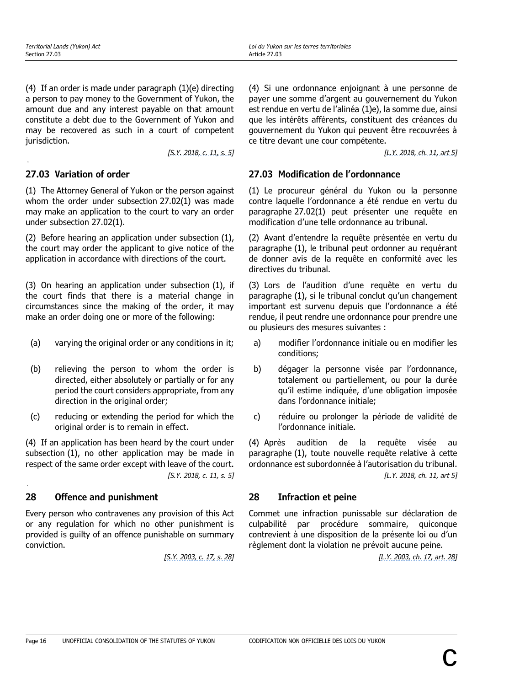(4) If an order is made under paragraph (1)(e) directing a person to pay money to the Government of Yukon, the amount due and any interest payable on that amount constitute a debt due to the Government of Yukon and may be recovered as such in a court of competent jurisdiction.

<span id="page-19-0"></span>**27.03 Variation of order (Modification de l'ordonnance)**

(1) The Attorney General of Yukon or the person against whom the order under subsection 27.02(1) was made may make an application to the court to vary an order under subsection 27.02(1).

(2) Before hearing an application under subsection (1), the court may order the applicant to give notice of the application in accordance with directions of the court.

(3) On hearing an application under subsection (1), if the court finds that there is a material change in circumstances since the making of the order, it may make an order doing one or more of the following:

- (a) varying the original order or any conditions in it; a) modifier l'ordonnance initiale ou en modifier les
- (b) relieving the person to whom the order is directed, either absolutely or partially or for any period the court considers appropriate, from any direction in the original order;
- (c) reducing or extending the period for which the original order is to remain in effect.

(4) If an application has been heard by the court under subsection (1), no other application may be made in respect of the same order except with leave of the court.

### **28 Offence and punishment 28 Infraction et peine**

<span id="page-19-1"></span>**28 Offence and punishment (Infraction et peine )**

Every person who contravenes any provision of this Act or any regulation for which no other punishment is provided is guilty of an offence punishable on summary conviction.

(4) Si une ordonnance enjoignant à une personne de payer une somme d'argent au gouvernement du Yukon est rendue en vertu de l'alinéa (1)e), la somme due, ainsi que les intérêts afférents, constituent des créances du gouvernement du Yukon qui peuvent être recouvrées à ce titre devant une cour compétente.

*[S.Y. [2018,](https://laws.yukon.ca/cms/images/LEGISLATION/AMENDING/2018/2018-0011/2018-0011.pdf) c. 11, s. 5] [L.Y. [2018,](https://laws.yukon.ca/cms/images/LEGISLATION/AMENDING/2018/2018-0011/2018-0011.pdf) ch. 11, art 5]*

### **27.03 Variation of order 27.03 Modification de l'ordonnance**

<span id="page-19-2"></span>(1) Le procureur général du Yukon ou la personne contre laquelle l'ordonnance a été rendue en vertu du paragraphe 27.02(1) peut présenter une requête en modification d'une telle ordonnance au tribunal.

(2) Avant d'entendre la requête présentée en vertu du paragraphe (1), le tribunal peut ordonner au requérant de donner avis de la requête en conformité avec les directives du tribunal.

(3) Lors de l'audition d'une requête en vertu du paragraphe (1), si le tribunal conclut qu'un changement important est survenu depuis que l'ordonnance a été rendue, il peut rendre une ordonnance pour prendre une ou plusieurs des mesures suivantes :

- conditions;
- b) dégager la personne visée par l'ordonnance, totalement ou partiellement, ou pour la durée qu'il estime indiquée, d'une obligation imposée dans l'ordonnance initiale;
- c) réduire ou prolonger la période de validité de l'ordonnance initiale.

(4) Après audition de la requête visée au paragraphe (1), toute nouvelle requête relative à cette ordonnance est subordonnée à l'autorisation du tribunal. *[S.Y. [2018,](https://laws.yukon.ca/cms/images/LEGISLATION/AMENDING/2018/2018-0011/2018-0011.pdf) c. 11, s. 5] [L.Y. [2018,](https://laws.yukon.ca/cms/images/LEGISLATION/AMENDING/2018/2018-0011/2018-0011.pdf) ch. 11, art 5]*

<span id="page-19-3"></span>Commet une infraction punissable sur déclaration de culpabilité par procédure sommaire, quiconque contrevient à une disposition de la présente loi ou d'un règlement dont la violation ne prévoit aucune peine.

*[S.Y. [2003,](https://laws.yukon.ca/cms/images/LEGISLATION/AMENDING/2003/2003-0017/2003-0017.pdf) c. 17, s. 28] [L.Y. [2003,](https://laws.yukon.ca/cms/images/LEGISLATION/AMENDING/2003/2003-0017/2003-0017.pdf) ch. 17, art. 28]*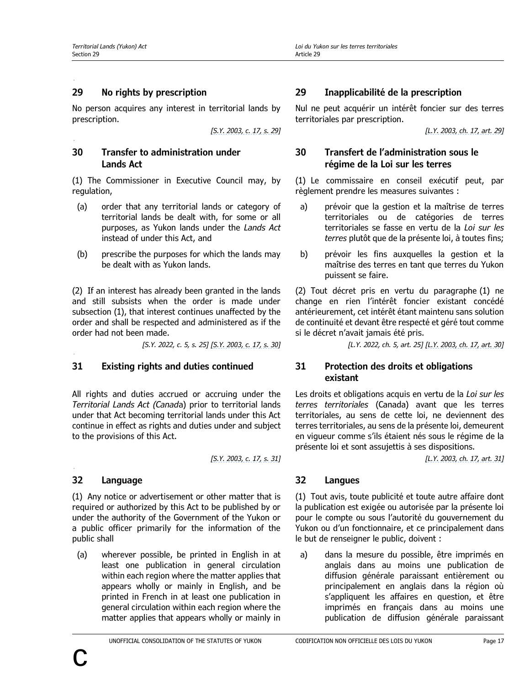<span id="page-20-0"></span>**29 No rights by prescription (Inapplicabilité de la prescription)**

<span id="page-20-1"></span>**30 Transfer t o administration under Lands Act (Transfert de l'administration sous le régime de la Loi sur les terres)**

No person acquires any interest in territorial lands by prescription.

### **30 Transfer to administration under Lands Act**

(1) The Commissioner in Executive Council may, by regulation,

- (a) order that any territorial lands or category of territorial lands be dealt with, for some or all purposes, as Yukon lands under the *Lands Act* instead of under this Act, and
- (b) prescribe the purposes for which the lands may be dealt with as Yukon lands.

(2) If an interest has already been granted in the lands and still subsists when the order is made under subsection (1), that interest continues unaffected by the order and shall be respected and administered as if the order had not been made.

### **31 Existing rights and duties continued 31 Protection des droits et obligations**

All rights and duties accrued or accruing under the *Territorial Lands Act (Canad*a) prior to territorial lands under that Act becoming territorial lands under this Act continue in effect as rights and duties under and subject to the provisions of this Act.

### **32 Language 32 Langues**

<span id="page-20-3"></span>**32 Language (L angues)**

<span id="page-20-2"></span>**31 Existing rights and duties continued (Prot ection des droits et obligations existant)**

(1) Any notice or advertisement or other matter that is required or authorized by this Act to be published by or under the authority of the Government of the Yukon or a public officer primarily for the information of the public shall

(a) wherever possible, be printed in English in at least one publication in general circulation within each region where the matter applies that appears wholly or mainly in English, and be printed in French in at least one publication in general circulation within each region where the matter applies that appears wholly or mainly in

### **29 No rights by prescription 29 Inapplicabilité de la prescription**

<span id="page-20-4"></span>Nul ne peut acquérir un intérêt foncier sur des terres territoriales par prescription.

*[S.Y. [2003,](https://laws.yukon.ca/cms/images/LEGISLATION/AMENDING/2003/2003-0017/2003-0017.pdf) c. 17, s. 29] [L.Y. [2003,](https://laws.yukon.ca/cms/images/LEGISLATION/AMENDING/2003/2003-0017/2003-0017.pdf) ch. 17, art. 29]*

### <span id="page-20-5"></span>**30 Transfert de l'administration sous le régime de la Loi sur les terres**

(1) Le commissaire en conseil exécutif peut, par règlement prendre les measures suivantes :

- a) prévoir que la gestion et la maîtrise de terres territoriales ou de catégories de terres territoriales se fasse en vertu de la *Loi sur les terres* plutôt que de la présente loi, à toutes fins;
- b) prévoir les fins auxquelles la gestion et la maîtrise des terres en tant que terres du Yukon puissent se faire.

(2) Tout décret pris en vertu du paragraphe (1) ne change en rien l'intérêt foncier existant concédé antérieurement, cet intérêt étant maintenu sans solution de continuité et devant être respecté et géré tout comme si le décret n'avait jamais été pris.

[S.Y. 2022, c. 5, s. 25] [S.Y. [2003,](https://laws.yukon.ca/cms/images/LEGISLATION/AMENDING/2003/2003-0017/2003-0017.pdf) c. 17, s. 30] [L.Y. 2022, ch. 5, art. 25] [L.Y. 2003, ch. 17, art. 30]

# <span id="page-20-6"></span>**existant**

Les droits et obligations acquis en vertu de la *Loi sur les terres territoriales* (Canada) avant que les terres territoriales, au sens de cette loi, ne deviennent des terres territoriales, au sens de la présente loi, demeurent en vigueur comme s'ils étaient nés sous le régime de la présente loi et sont assujettis à ses dispositions.

*[S.Y. [2003,](https://laws.yukon.ca/cms/images/LEGISLATION/AMENDING/2003/2003-0017/2003-0017.pdf) c. 17, s. 31] [L.Y. [2003,](https://laws.yukon.ca/cms/images/LEGISLATION/AMENDING/2003/2003-0017/2003-0017.pdf) ch. 17, art. 31]*

<span id="page-20-7"></span>(1) Tout avis, toute publicité et toute autre affaire dont la publication est exigée ou autorisée par la présente loi pour le compte ou sous l'autorité du gouvernement du Yukon ou d'un fonctionnaire, et ce principalement dans le but de renseigner le public, doivent :

a) dans la mesure du possible, être imprimés en anglais dans au moins une publication de diffusion générale paraissant entièrement ou principalement en anglais dans la région où s'appliquent les affaires en question, et être imprimés en français dans au moins une publication de diffusion générale paraissant